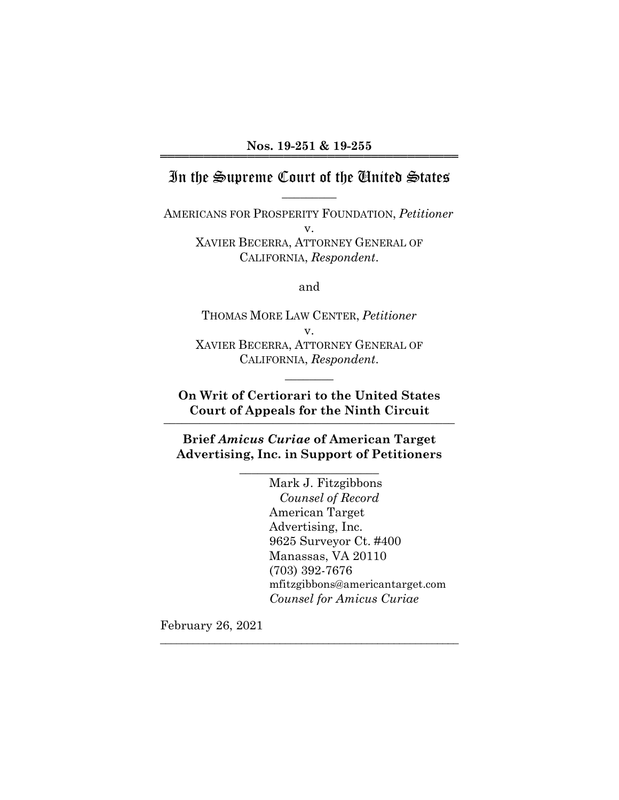# In the Supreme Court of the United States  $\overline{\phantom{a}}$  . The set of  $\overline{\phantom{a}}$

AMERICANS FOR PROSPERITY FOUNDATION, *Petitioner*  v. XAVIER BECERRA, ATTORNEY GENERAL OF CALIFORNIA, *Respondent*.

and

THOMAS MORE LAW CENTER, *Petitioner* v. XAVIER BECERRA, ATTORNEY GENERAL OF CALIFORNIA, *Respondent*.

**On Writ of Certiorari to the United States Court of Appeals for the Ninth Circuit** \_\_\_\_\_\_\_\_\_\_\_\_\_\_\_\_\_\_\_\_\_\_\_\_\_\_\_\_\_\_\_\_\_\_\_\_\_\_\_\_\_\_\_\_\_\_\_\_

 $\overline{\phantom{a}}$   $\overline{\phantom{a}}$ 

**Brief** *Amicus Curiae* **of American Target Advertising, Inc. in Support of Petitioners** 

 $\frac{1}{2}$  , and the set of the set of the set of the set of the set of the set of the set of the set of the set of the set of the set of the set of the set of the set of the set of the set of the set of the set of the set

\_\_\_\_\_\_\_\_\_\_\_\_\_\_\_\_\_\_\_\_\_\_\_\_\_\_\_\_\_\_\_\_\_\_\_\_\_\_\_\_\_\_\_\_\_\_\_\_\_\_\_\_\_\_\_

 Mark J. Fitzgibbons *Counsel of Record* American Target Advertising, Inc. 9625 Surveyor Ct. #400 Manassas, VA 20110 (703) 392-7676 mfitzgibbons@americantarget.com *Counsel for Amicus Curiae*

February 26, 2021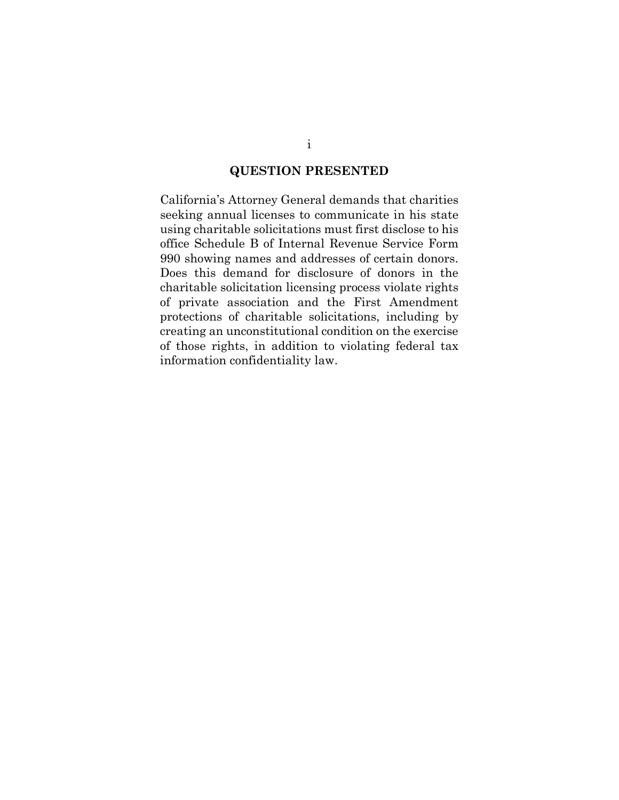### **QUESTION PRESENTED**

California's Attorney General demands that charities seeking annual licenses to communicate in his state using charitable solicitations must first disclose to his office Schedule B of Internal Revenue Service Form 990 showing names and addresses of certain donors. Does this demand for disclosure of donors in the charitable solicitation licensing process violate rights of private association and the First Amendment protections of charitable solicitations, including by creating an unconstitutional condition on the exercise of those rights, in addition to violating federal tax information confidentiality law.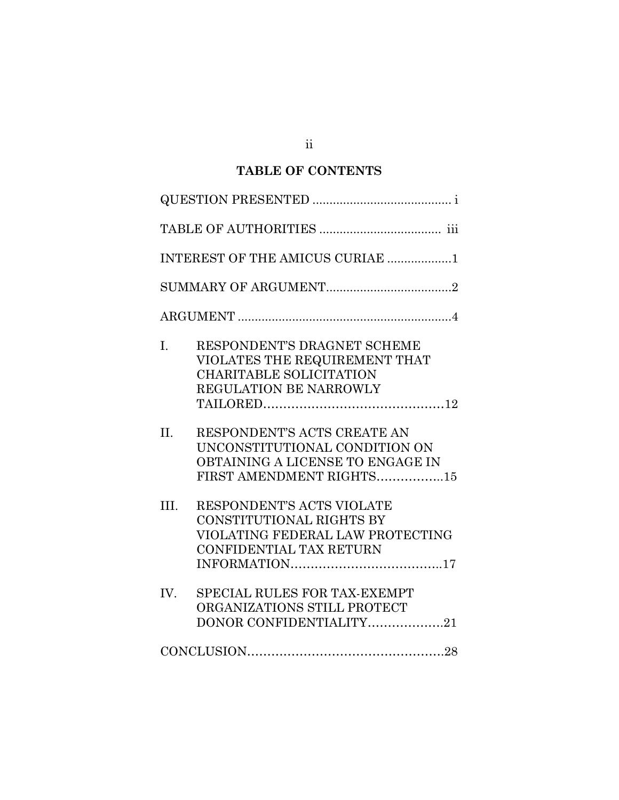# **TABLE OF CONTENTS**

| INTEREST OF THE AMICUS CURIAE 1                                                                                                     |
|-------------------------------------------------------------------------------------------------------------------------------------|
|                                                                                                                                     |
|                                                                                                                                     |
| I.<br>RESPONDENT'S DRAGNET SCHEME<br>VIOLATES THE REQUIREMENT THAT<br><b>CHARITABLE SOLICITATION</b><br>REGULATION BE NARROWLY      |
| II.<br>RESPONDENT'S ACTS CREATE AN<br>UNCONSTITUTIONAL CONDITION ON<br>OBTAINING A LICENSE TO ENGAGE IN<br>FIRST AMENDMENT RIGHTS15 |
| III.<br>RESPONDENT'S ACTS VIOLATE<br>CONSTITUTIONAL RIGHTS BY<br>VIOLATING FEDERAL LAW PROTECTING<br><b>CONFIDENTIAL TAX RETURN</b> |
| IV.<br>SPECIAL RULES FOR TAX-EXEMPT<br>ORGANIZATIONS STILL PROTECT<br>DONOR CONFIDENTIALITY21                                       |
| $\textbf{CONCLUSION}.\textcolor{red}{\textbf{128}} \textbf{138}$                                                                    |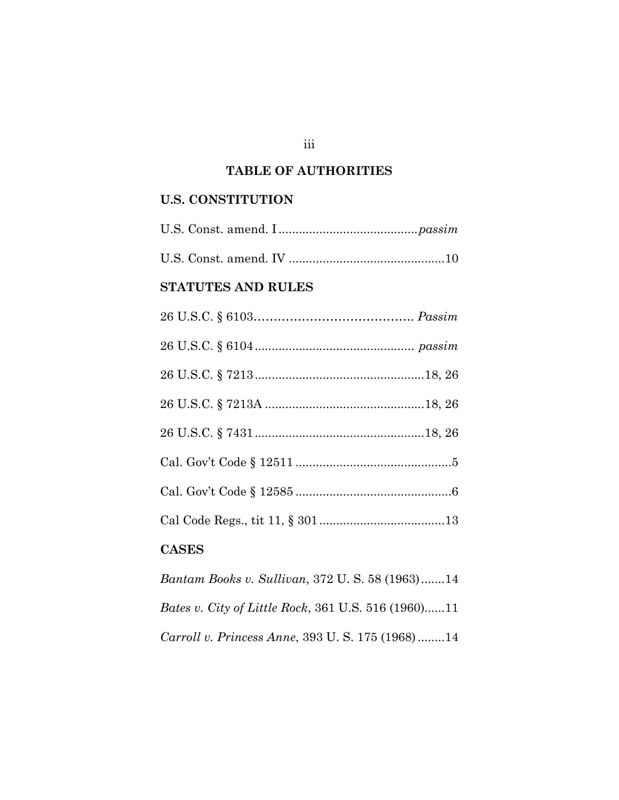## **TABLE OF AUTHORITIES**

### **U.S. CONSTITUTION**

# U.S. Const. amend. IV .............................................. 10

# **STATUTES AND RULES**

# **CASES**

*Bantam Books v. Sullivan*, 372 U. S. 58 (1963).......14 *Bates v. City of Little Rock*, 361 U.S. 516 (1960)......11 *Carroll v. Princess Anne*, 393 U. S. 175 (1968) ........14

#### iii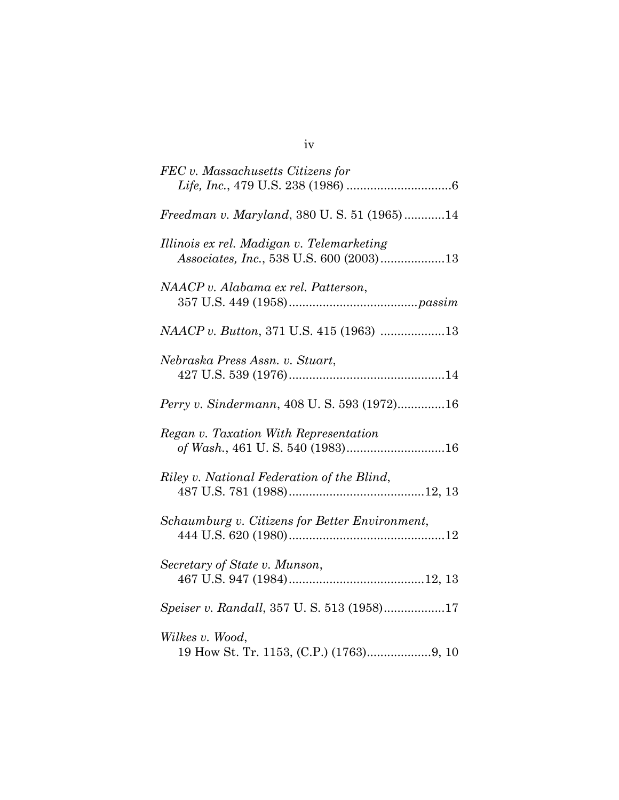| FEC v. Massachusetts Citizens for                                        |
|--------------------------------------------------------------------------|
|                                                                          |
| Freedman v. Maryland, 380 U.S. 51 (1965)14                               |
| Illinois ex rel. Madigan v. Telemarketing                                |
| NAACP v. Alabama ex rel. Patterson,                                      |
| NAACP v. Button, 371 U.S. 415 (1963) 13                                  |
| Nebraska Press Assn. v. Stuart,                                          |
| Perry v. Sindermann, 408 U.S. 593 (1972)16                               |
| Regan v. Taxation With Representation<br>of Wash., 461 U.S. 540 (1983)16 |
| Riley v. National Federation of the Blind,                               |
| Schaumburg v. Citizens for Better Environment,                           |
| Secretary of State v. Munson,                                            |
| Speiser v. Randall, 357 U.S. 513 (1958)17                                |
| Wilkes v. Wood,                                                          |

iv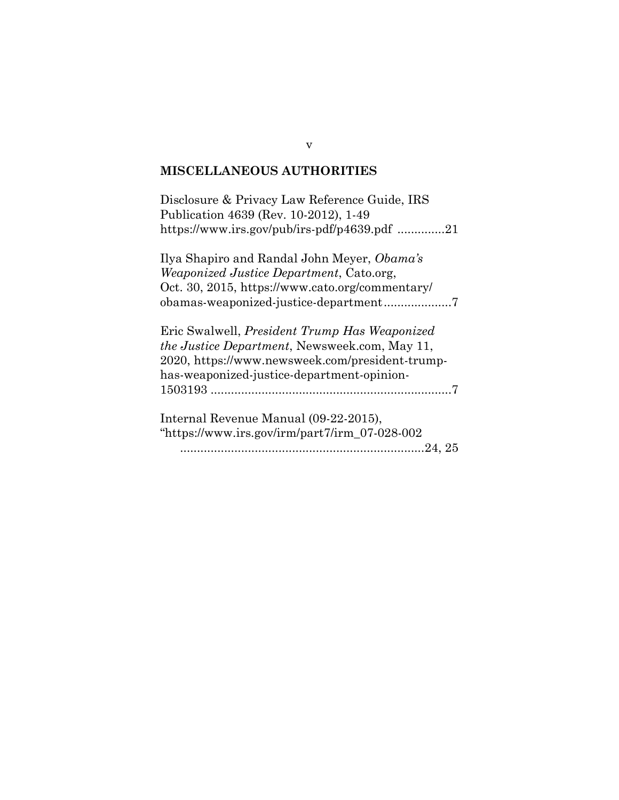#### **MISCELLANEOUS AUTHORITIES**

Disclosure & Privacy Law Reference Guide, IRS Publication 4639 (Rev. 10-2012), 1-49 https://www.irs.gov/pub/irs-pdf/p4639.pdf ..............21

Ilya Shapiro and Randal John Meyer, *Obama's Weaponized Justice Department*, Cato.org, Oct. 30, 2015, https://www.cato.org/commentary/ obamas-weaponized-justice-department....................7

Eric Swalwell, *President Trump Has Weaponized the Justice Department*, Newsweek.com, May 11, 2020, https://www.newsweek.com/president-trumphas-weaponized-justice-department-opinion-1503193 .......................................................................7

Internal Revenue Manual (09-22-2015), "https://www.irs.gov/irm/part7/irm\_07-028-002 ........................................................................24, 25

v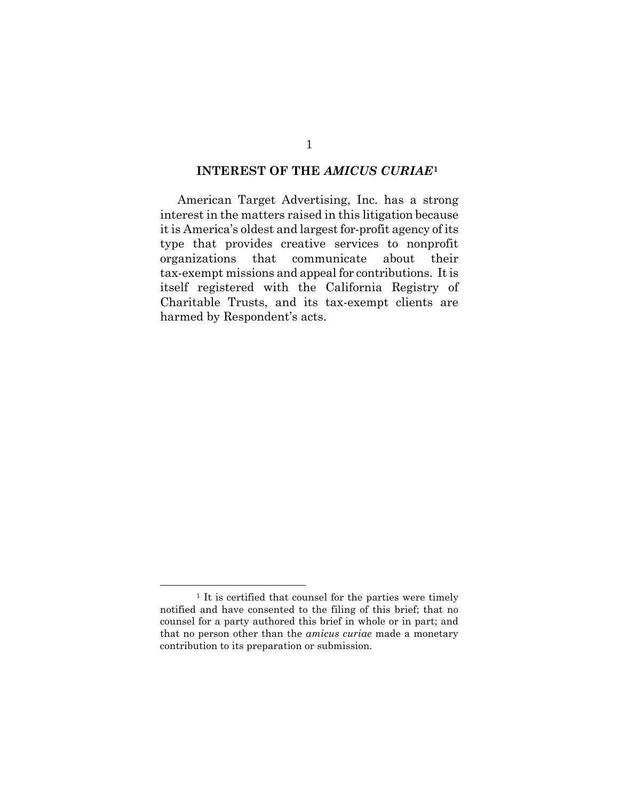#### **INTEREST OF THE** *AMICUS CURIAE***[1](#page-6-0)**

American Target Advertising, Inc. has a strong interest in the matters raised in this litigation because it is America's oldest and largest for-profit agency of its type that provides creative services to nonprofit organizations that communicate about their tax-exempt missions and appeal for contributions. Itis itself registered with the California Registry of Charitable Trusts, and its tax-exempt clients are harmed by Respondent's acts.

<span id="page-6-0"></span><sup>&</sup>lt;sup>1</sup> It is certified that counsel for the parties were timely notified and have consented to the filing of this brief; that no counsel for a party authored this brief in whole or in part; and that no person other than the *amicus curiae* made a monetary contribution to its preparation or submission.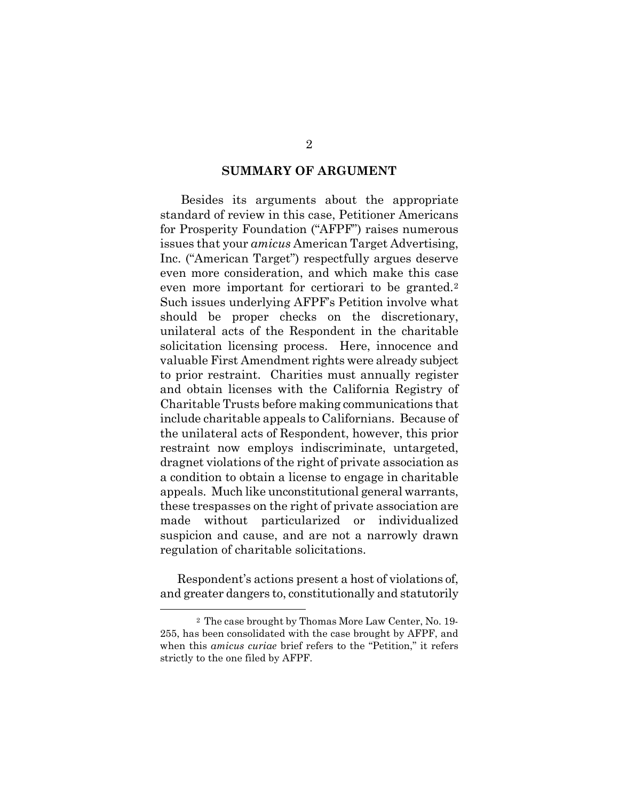#### **SUMMARY OF ARGUMENT**

Besides its arguments about the appropriate standard of review in this case, Petitioner Americans for Prosperity Foundation ("AFPF") raises numerous issues that your *amicus* American Target Advertising, Inc. ("American Target") respectfully argues deserve even more consideration, and which make this case even more important for certiorari to be granted.<sup>[2](#page-7-0)</sup> Such issues underlying AFPF's Petition involve what should be proper checks on the discretionary, unilateral acts of the Respondent in the charitable solicitation licensing process. Here, innocence and valuable First Amendment rights were already subject to prior restraint. Charities must annually register and obtain licenses with the California Registry of Charitable Trusts before making communications that include charitable appeals to Californians. Because of the unilateral acts of Respondent, however, this prior restraint now employs indiscriminate, untargeted, dragnet violations of the right of private association as a condition to obtain a license to engage in charitable appeals. Much like unconstitutional general warrants, these trespasses on the right of private association are made without particularized or individualized suspicion and cause, and are not a narrowly drawn regulation of charitable solicitations.

Respondent's actions present a host of violations of, and greater dangers to, constitutionally and statutorily

<span id="page-7-0"></span><sup>2</sup> The case brought by Thomas More Law Center, No. 19- 255, has been consolidated with the case brought by AFPF, and when this *amicus curiae* brief refers to the "Petition," it refers strictly to the one filed by AFPF.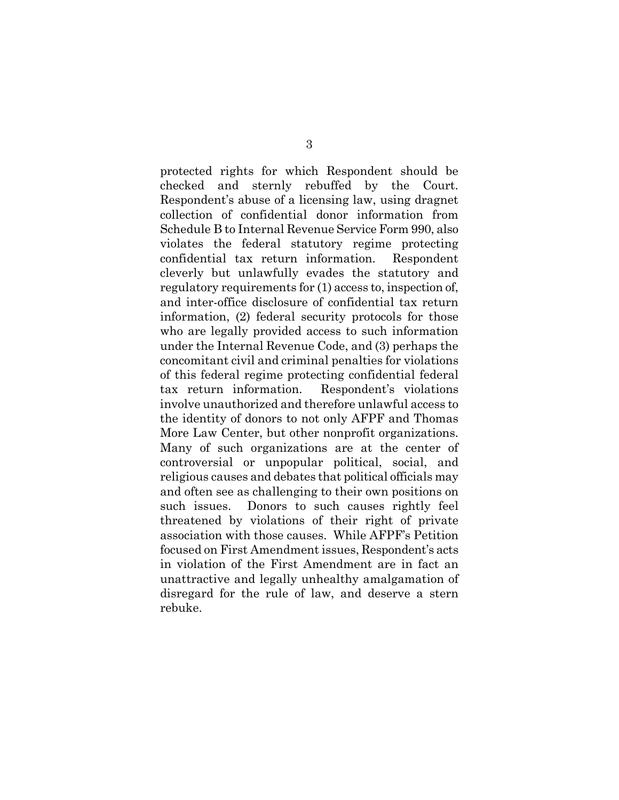protected rights for which Respondent should be checked and sternly rebuffed by the Court. Respondent's abuse of a licensing law, using dragnet collection of confidential donor information from Schedule B to Internal Revenue Service Form 990, also violates the federal statutory regime protecting confidential tax return information. Respondent cleverly but unlawfully evades the statutory and regulatory requirements for (1) access to, inspection of, and inter-office disclosure of confidential tax return information, (2) federal security protocols for those who are legally provided access to such information under the Internal Revenue Code, and (3) perhaps the concomitant civil and criminal penalties for violations of this federal regime protecting confidential federal tax return information. Respondent's violations involve unauthorized and therefore unlawful access to the identity of donors to not only AFPF and Thomas More Law Center, but other nonprofit organizations. Many of such organizations are at the center of controversial or unpopular political, social, and religious causes and debates that political officials may and often see as challenging to their own positions on such issues. Donors to such causes rightly feel threatened by violations of their right of private association with those causes. While AFPF's Petition focused on First Amendment issues, Respondent's acts in violation of the First Amendment are in fact an unattractive and legally unhealthy amalgamation of disregard for the rule of law, and deserve a stern rebuke.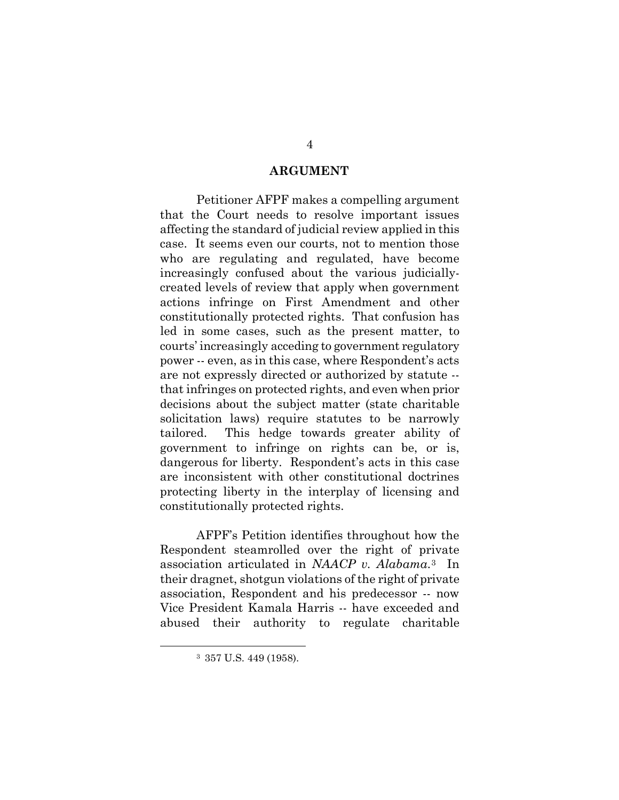#### **ARGUMENT**

Petitioner AFPF makes a compelling argument that the Court needs to resolve important issues affecting the standard of judicial review applied in this case. It seems even our courts, not to mention those who are regulating and regulated, have become increasingly confused about the various judiciallycreated levels of review that apply when government actions infringe on First Amendment and other constitutionally protected rights. That confusion has led in some cases, such as the present matter, to courts' increasingly acceding to government regulatory power -- even, as in this case, where Respondent's acts are not expressly directed or authorized by statute - that infringes on protected rights, and even when prior decisions about the subject matter (state charitable solicitation laws) require statutes to be narrowly tailored. This hedge towards greater ability of government to infringe on rights can be, or is, dangerous for liberty. Respondent's acts in this case are inconsistent with other constitutional doctrines protecting liberty in the interplay of licensing and constitutionally protected rights.

AFPF's Petition identifies throughout how the Respondent steamrolled over the right of private association articulated in *NAACP v. Alabama*.[3](#page-9-0) In their dragnet, shotgun violations of the right of private association, Respondent and his predecessor -- now Vice President Kamala Harris -- have exceeded and abused their authority to regulate charitable

<span id="page-9-0"></span><sup>3 357</sup> U.S. 449 (1958).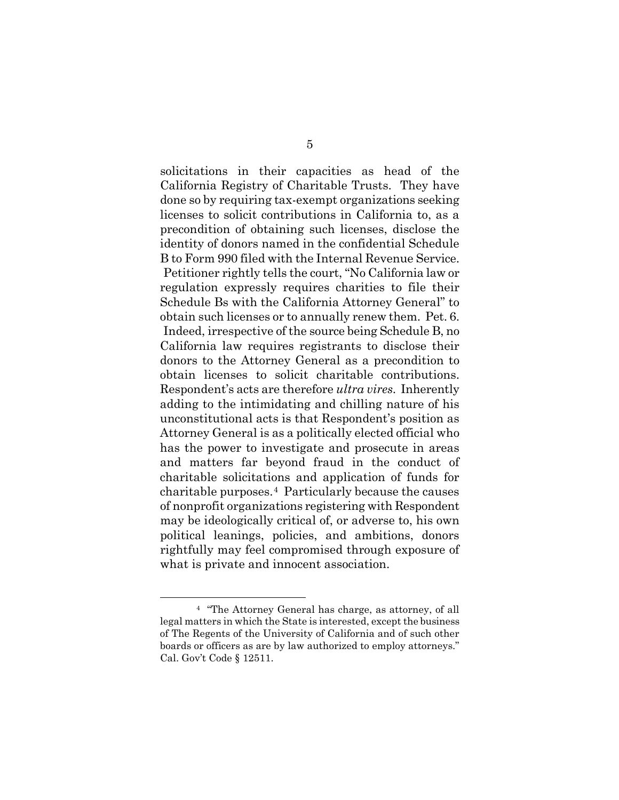solicitations in their capacities as head of the California Registry of Charitable Trusts. They have done so by requiring tax-exempt organizations seeking licenses to solicit contributions in California to, as a precondition of obtaining such licenses, disclose the identity of donors named in the confidential Schedule B to Form 990 filed with the Internal Revenue Service. Petitioner rightly tells the court, "No California law or regulation expressly requires charities to file their Schedule Bs with the California Attorney General" to obtain such licenses or to annually renew them. Pet. 6. Indeed, irrespective of the source being Schedule B, no California law requires registrants to disclose their donors to the Attorney General as a precondition to obtain licenses to solicit charitable contributions. Respondent's acts are therefore *ultra vires*. Inherently adding to the intimidating and chilling nature of his unconstitutional acts is that Respondent's position as Attorney General is as a politically elected official who has the power to investigate and prosecute in areas and matters far beyond fraud in the conduct of charitable solicitations and application of funds for charitable purposes.[4](#page-10-0) Particularly because the causes of nonprofit organizations registering with Respondent may be ideologically critical of, or adverse to, his own political leanings, policies, and ambitions, donors rightfully may feel compromised through exposure of what is private and innocent association.

<span id="page-10-0"></span><sup>4 &</sup>quot;The Attorney General has charge, as attorney, of all legal matters in which the State is interested, except the business of The Regents of the University of California and of such other boards or officers as are by law authorized to employ attorneys." Cal. Gov't Code § 12511.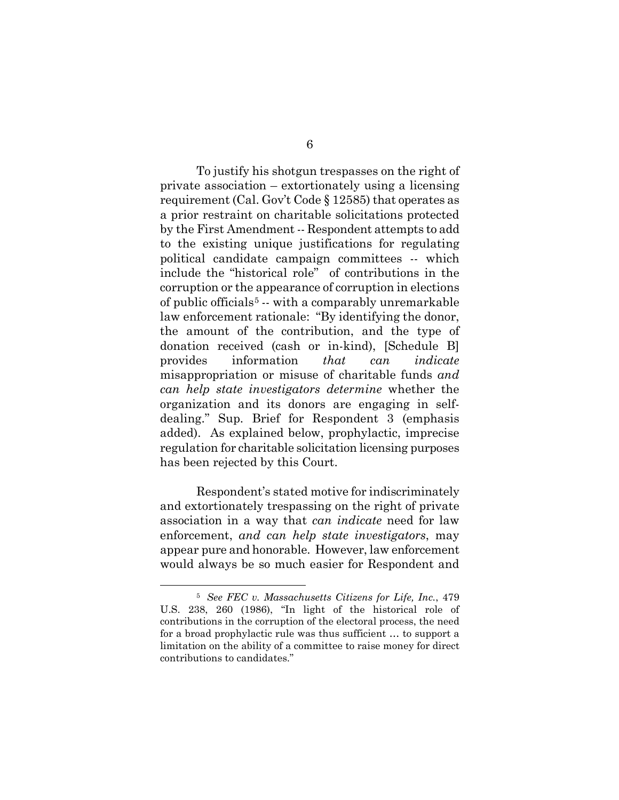To justify his shotgun trespasses on the right of private association – extortionately using a licensing requirement (Cal. Gov't Code § 12585) that operates as a prior restraint on charitable solicitations protected by the First Amendment -- Respondent attempts to add to the existing unique justifications for regulating political candidate campaign committees -- which include the "historical role" of contributions in the corruption or the appearance of corruption in elections of public officials<sup>[5](#page-11-0)</sup>  $\cdot\cdot$  with a comparably unremarkable law enforcement rationale: "By identifying the donor, the amount of the contribution, and the type of donation received (cash or in-kind), [Schedule B] provides information *that can indicate* misappropriation or misuse of charitable funds *and can help state investigators determine* whether the organization and its donors are engaging in selfdealing." Sup. Brief for Respondent 3 (emphasis added). As explained below, prophylactic, imprecise regulation for charitable solicitation licensing purposes has been rejected by this Court.

Respondent's stated motive for indiscriminately and extortionately trespassing on the right of private association in a way that *can indicate* need for law enforcement, *and can help state investigators*, may appear pure and honorable. However, law enforcement would always be so much easier for Respondent and

<span id="page-11-0"></span><sup>5</sup>*See FEC v. Massachusetts Citizens for Life, Inc.*, 479 U.S. 238, 260 (1986), "In light of the historical role of contributions in the corruption of the electoral process, the need for a broad prophylactic rule was thus sufficient … to support a limitation on the ability of a committee to raise money for direct contributions to candidates."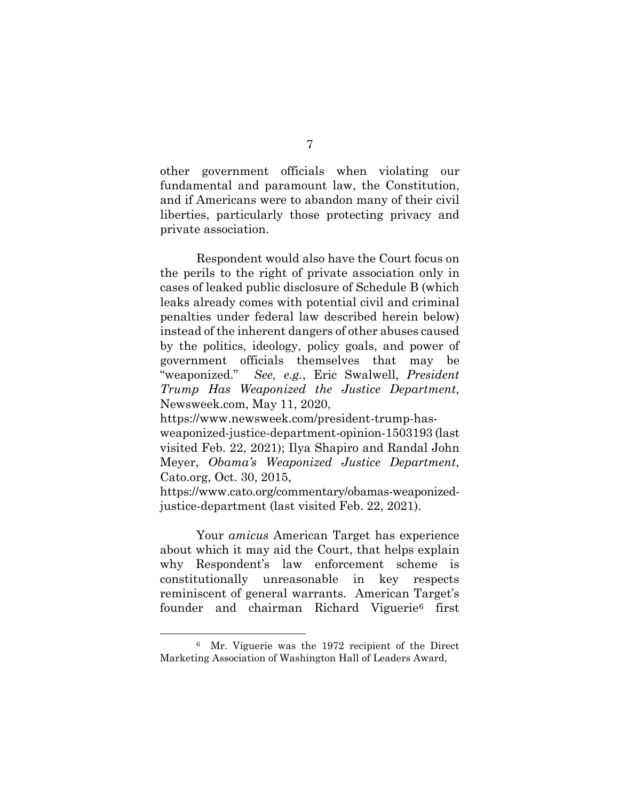other government officials when violating our fundamental and paramount law, the Constitution, and if Americans were to abandon many of their civil liberties, particularly those protecting privacy and private association.

Respondent would also have the Court focus on the perils to the right of private association only in cases of leaked public disclosure of Schedule B (which leaks already comes with potential civil and criminal penalties under federal law described herein below) instead of the inherent dangers of other abuses caused by the politics, ideology, policy goals, and power of government officials themselves that may be "weaponized." *See, e.g.*, Eric Swalwell, *President Trump Has Weaponized the Justice Department*, Newsweek.com, May 11, 2020,

[https://www.newsweek.com/president-trump-has-](https://www.newsweek.com/president-trump-has-weaponized-justice-department-opinion-1503193)

[weaponized-justice-department-opinion-1503193](https://www.newsweek.com/president-trump-has-weaponized-justice-department-opinion-1503193) (last visited Feb. 22, 2021); Ilya Shapiro and Randal John Meyer, *Obama's Weaponized Justice Department*, Cato.org, Oct. 30, 2015,

[https://www.cato.org/commentary/obamas-weaponized](https://www.cato.org/commentary/obamas-weaponized-justice-department)[justice-department](https://www.cato.org/commentary/obamas-weaponized-justice-department) (last visited Feb. 22, 2021).

Your *amicus* American Target has experience about which it may aid the Court, that helps explain why Respondent's law enforcement scheme is constitutionally unreasonable in key respects reminiscent of general warrants. American Target's founder and chairman Richard Viguerie[6](#page-12-0) first

<span id="page-12-0"></span><sup>6</sup> Mr. Viguerie was the 1972 recipient of the Direct Marketing Association of Washington Hall of Leaders Award,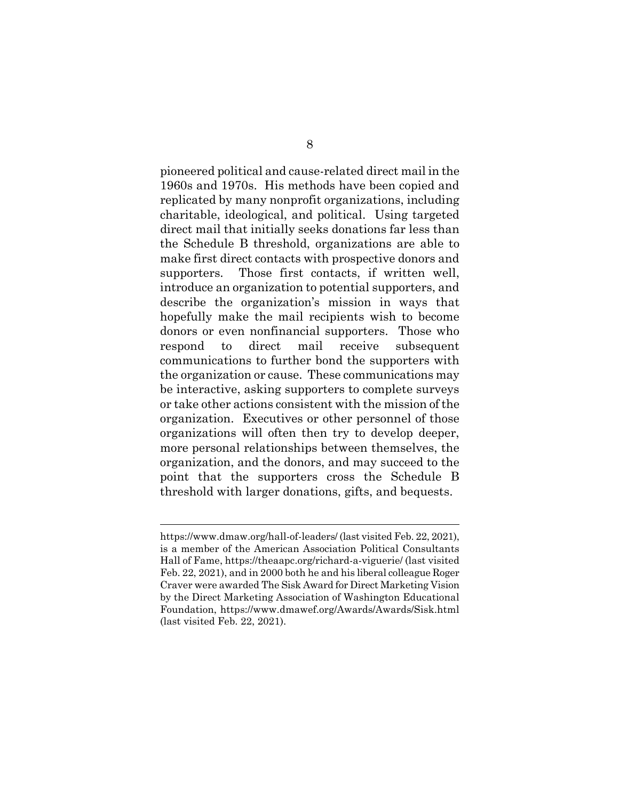pioneered political and cause-related direct mail in the 1960s and 1970s. His methods have been copied and replicated by many nonprofit organizations, including charitable, ideological, and political. Using targeted direct mail that initially seeks donations far less than the Schedule B threshold, organizations are able to make first direct contacts with prospective donors and supporters. Those first contacts, if written well, introduce an organization to potential supporters, and describe the organization's mission in ways that hopefully make the mail recipients wish to become donors or even nonfinancial supporters. Those who respond to direct mail receive subsequent communications to further bond the supporters with the organization or cause. These communications may be interactive, asking supporters to complete surveys or take other actions consistent with the mission of the organization. Executives or other personnel of those organizations will often then try to develop deeper, more personal relationships between themselves, the organization, and the donors, and may succeed to the point that the supporters cross the Schedule B threshold with larger donations, gifts, and bequests.

https://www.dmaw.org/hall-of-leaders/ (last visited Feb. 22, 2021), is a member of the American Association Political Consultants Hall of Fame, https://theaapc.org/richard-a-viguerie/ (last visited Feb. 22, 2021), and in 2000 both he and his liberal colleague Roger Craver were awarded The Sisk Award for Direct Marketing Vision by the Direct Marketing Association of Washington Educational Foundation, https://www.dmawef.org/Awards/Awards/Sisk.html (last visited Feb. 22, 2021).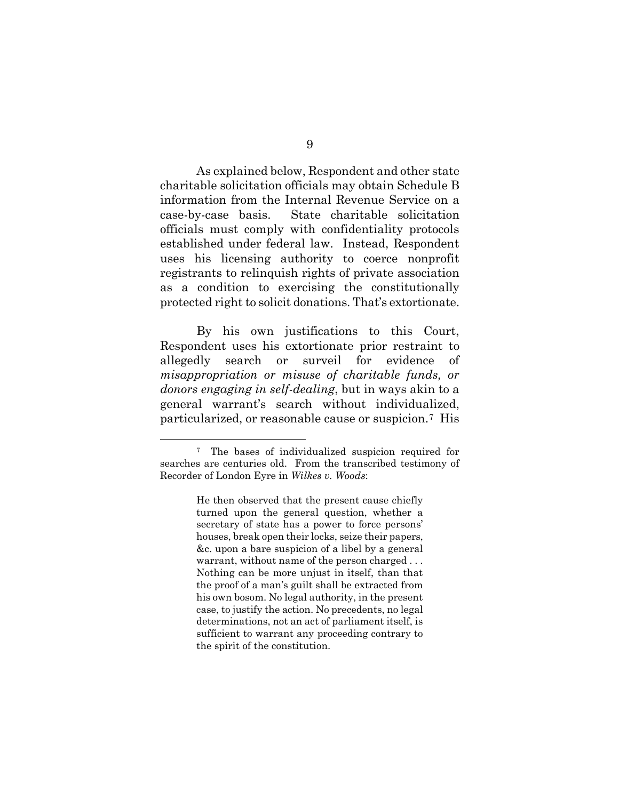As explained below, Respondent and other state charitable solicitation officials may obtain Schedule B information from the Internal Revenue Service on a case-by-case basis. State charitable solicitation officials must comply with confidentiality protocols established under federal law. Instead, Respondent uses his licensing authority to coerce nonprofit registrants to relinquish rights of private association as a condition to exercising the constitutionally protected right to solicit donations. That's extortionate.

By his own justifications to this Court, Respondent uses his extortionate prior restraint to allegedly search or surveil for evidence of *misappropriation or misuse of charitable funds, or donors engaging in self-dealing*, but in ways akin to a general warrant's search without individualized, particularized, or reasonable cause or suspicion.[7](#page-14-0) His

<span id="page-14-0"></span><sup>7</sup> The bases of individualized suspicion required for searches are centuries old. From the transcribed testimony of Recorder of London Eyre in *Wilkes v. Woods*:

He then observed that the present cause chiefly turned upon the general question, whether a secretary of state has a power to force persons' houses, break open their locks, seize their papers, &c. upon a bare suspicion of a libel by a general warrant, without name of the person charged . . . Nothing can be more unjust in itself, than that the proof of a man's guilt shall be extracted from his own bosom. No legal authority, in the present case, to justify the action. No precedents, no legal determinations, not an act of parliament itself, is sufficient to warrant any proceeding contrary to the spirit of the constitution.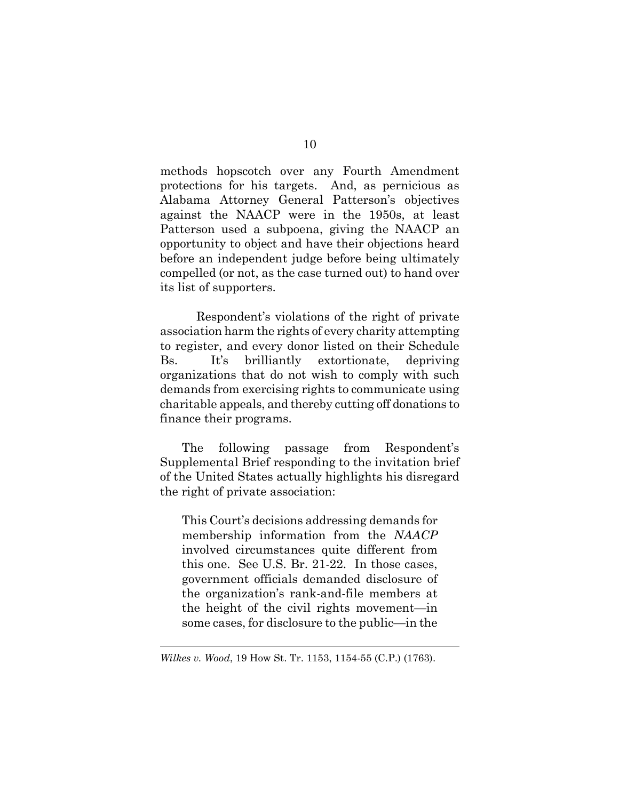methods hopscotch over any Fourth Amendment protections for his targets. And, as pernicious as Alabama Attorney General Patterson's objectives against the NAACP were in the 1950s, at least Patterson used a subpoena, giving the NAACP an opportunity to object and have their objections heard before an independent judge before being ultimately compelled (or not, as the case turned out) to hand over its list of supporters.

Respondent's violations of the right of private association harm the rights of every charity attempting to register, and every donor listed on their Schedule Bs. It's brilliantly extortionate, depriving organizations that do not wish to comply with such demands from exercising rights to communicate using charitable appeals, and thereby cutting off donations to finance their programs.

The following passage from Respondent's Supplemental Brief responding to the invitation brief of the United States actually highlights his disregard the right of private association:

This Court's decisions addressing demands for membership information from the *NAACP* involved circumstances quite different from this one. See U.S. Br. 21-22. In those cases, government officials demanded disclosure of the organization's rank-and-file members at the height of the civil rights movement—in some cases, for disclosure to the public—in the

*Wilkes v. Wood*, 19 How St. Tr. 1153, 1154-55 (C.P.) (1763).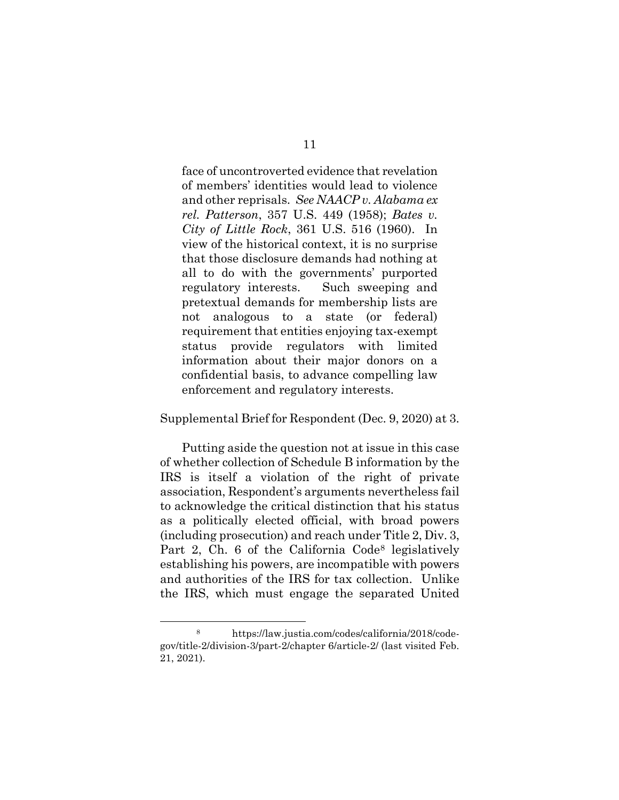face of uncontroverted evidence that revelation of members' identities would lead to violence and other reprisals. *See NAACP v. Alabama ex rel. Patterson*, 357 U.S. 449 (1958); *Bates v. City of Little Rock*, 361 U.S. 516 (1960). In view of the historical context, it is no surprise that those disclosure demands had nothing at all to do with the governments' purported regulatory interests. Such sweeping and pretextual demands for membership lists are not analogous to a state (or federal) requirement that entities enjoying tax-exempt status provide regulators with limited information about their major donors on a confidential basis, to advance compelling law enforcement and regulatory interests.

#### Supplemental Brief for Respondent (Dec. 9, 2020) at 3.

Putting aside the question not at issue in this case of whether collection of Schedule B information by the IRS is itself a violation of the right of private association, Respondent's arguments nevertheless fail to acknowledge the critical distinction that his status as a politically elected official, with broad powers (including prosecution) and reach under Title 2, Div. 3, Part 2, Ch. 6 of the California Code<sup>8</sup> legislatively establishing his powers, are incompatible with powers and authorities of the IRS for tax collection. Unlike the IRS, which must engage the separated United

<span id="page-16-0"></span><sup>8</sup> https://law.justia.com/codes/california/2018/codegov/title-2/division-3/part-2/chapter 6/article-2/ (last visited Feb. 21, 2021).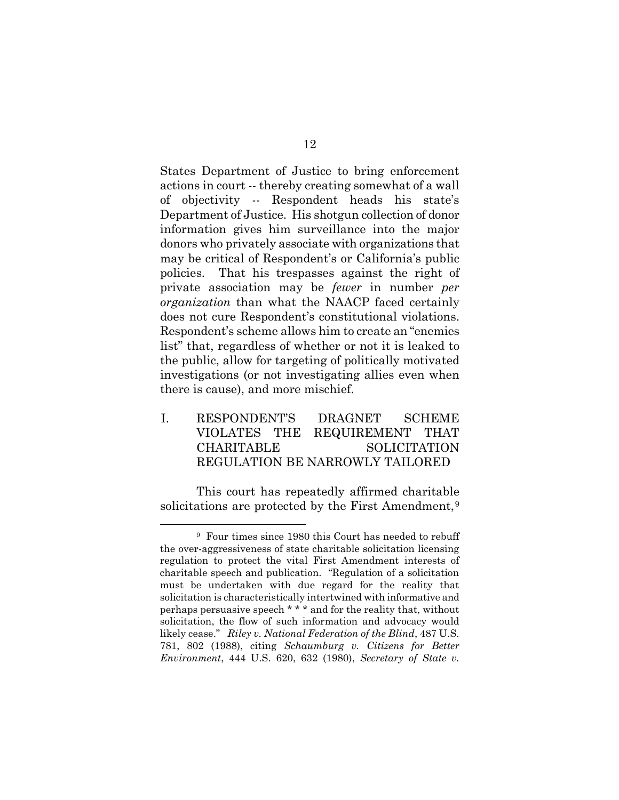States Department of Justice to bring enforcement actions in court -- thereby creating somewhat of a wall of objectivity -- Respondent heads his state's Department of Justice. His shotgun collection of donor information gives him surveillance into the major donors who privately associate with organizations that may be critical of Respondent's or California's public policies. That his trespasses against the right of private association may be *fewer* in number *per organization* than what the NAACP faced certainly does not cure Respondent's constitutional violations. Respondent's scheme allows him to create an "enemies list" that, regardless of whether or not it is leaked to the public, allow for targeting of politically motivated investigations (or not investigating allies even when there is cause), and more mischief.

I. RESPONDENT'S DRAGNET SCHEME VIOLATES THE REQUIREMENT THAT CHARITABLE SOLICITATION REGULATION BE NARROWLY TAILORED

This court has repeatedly affirmed charitable solicitations are protected by the First Amendment,<sup>[9](#page-17-0)</sup>

<span id="page-17-0"></span><sup>9</sup> Four times since 1980 this Court has needed to rebuff the over-aggressiveness of state charitable solicitation licensing regulation to protect the vital First Amendment interests of charitable speech and publication. "Regulation of a solicitation must be undertaken with due regard for the reality that solicitation is characteristically intertwined with informative and perhaps persuasive speech \* \* \* and for the reality that, without solicitation, the flow of such information and advocacy would likely cease." *Riley v. National Federation of the Blind*, 487 U.S. 781, 802 (1988), citing *Schaumburg v. Citizens for Better Environment*, 444 U.S. 620, 632 (1980), *Secretary of State v.*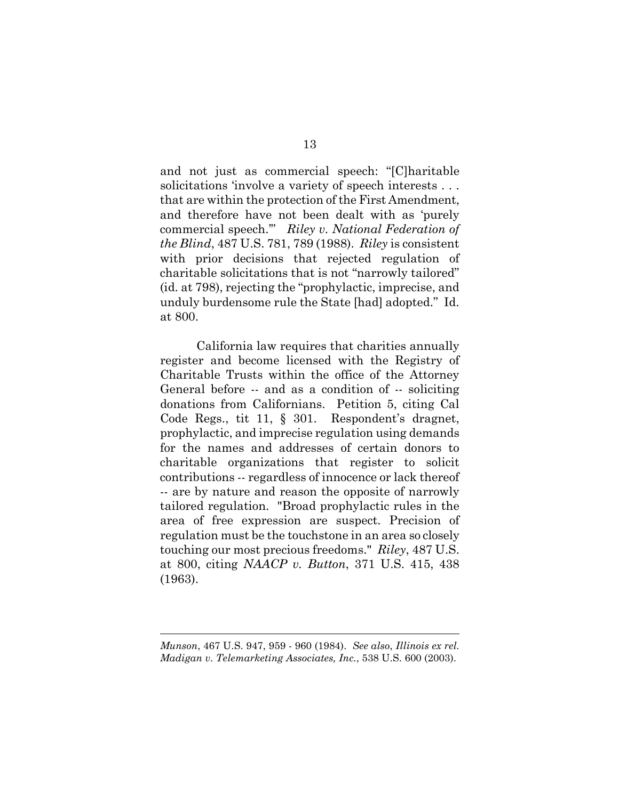and not just as commercial speech: "[C]haritable solicitations 'involve a variety of speech interests . . . that are within the protection of the First Amendment, and therefore have not been dealt with as 'purely commercial speech.'" *Riley v. National Federation of the Blind*, 487 U.S. 781, 789 (1988). *Riley* is consistent with prior decisions that rejected regulation of charitable solicitations that is not "narrowly tailored" (id. at 798), rejecting the "prophylactic, imprecise, and unduly burdensome rule the State [had] adopted." Id. at 800.

California law requires that charities annually register and become licensed with the Registry of Charitable Trusts within the office of the Attorney General before -- and as a condition of -- soliciting donations from Californians. Petition 5, citing Cal Code Regs., tit 11, § 301. Respondent's dragnet, prophylactic, and imprecise regulation using demands for the names and addresses of certain donors to charitable organizations that register to solicit contributions -- regardless of innocence or lack thereof -- are by nature and reason the opposite of narrowly tailored regulation. "Broad prophylactic rules in the area of free expression are suspect. Precision of regulation must be the touchstone in an area so closely touching our most precious freedoms." *Riley*, 487 U.S. at 800, citing *NAACP v. Button*, 371 U.S. 415, 438 (1963).

*Munson*, 467 U.S. 947, 959 - 960 (1984). *See also*, *Illinois ex rel. Madigan v. Telemarketing Associates, Inc.*, 538 U.S. 600 (2003).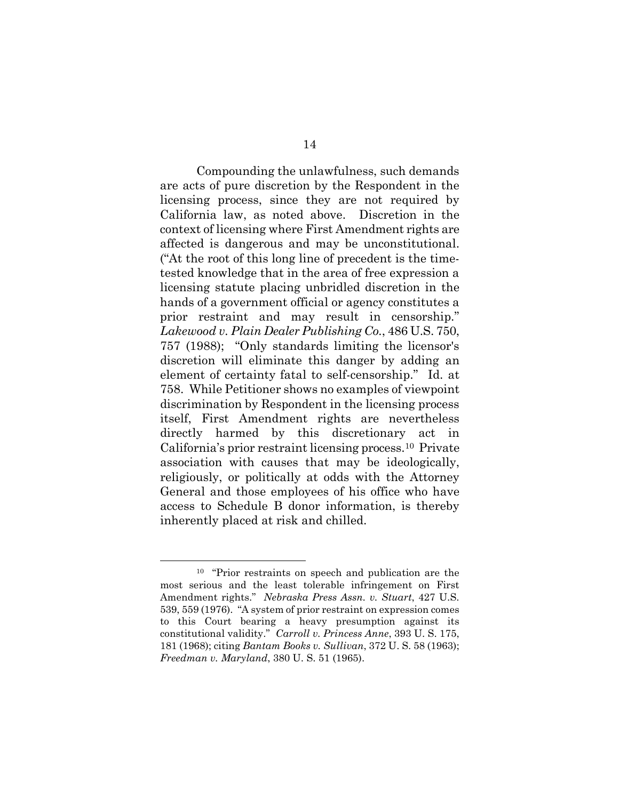Compounding the unlawfulness, such demands are acts of pure discretion by the Respondent in the licensing process, since they are not required by California law, as noted above. Discretion in the context of licensing where First Amendment rights are affected is dangerous and may be unconstitutional. ("At the root of this long line of precedent is the timetested knowledge that in the area of free expression a licensing statute placing unbridled discretion in the hands of a government official or agency constitutes a prior restraint and may result in censorship." *Lakewood v. Plain Dealer Publishing Co.*, 486 U.S. 750, 757 (1988); "Only standards limiting the licensor's discretion will eliminate this danger by adding an element of certainty fatal to self-censorship." Id. at 758. While Petitioner shows no examples of viewpoint discrimination by Respondent in the licensing process itself, First Amendment rights are nevertheless directly harmed by this discretionary act in California's prior restraint licensing process.[10](#page-19-0) Private association with causes that may be ideologically, religiously, or politically at odds with the Attorney General and those employees of his office who have access to Schedule B donor information, is thereby inherently placed at risk and chilled.

<span id="page-19-0"></span><sup>10 &</sup>quot;Prior restraints on speech and publication are the most serious and the least tolerable infringement on First Amendment rights." *Nebraska Press Assn. v. Stuart*, 427 U.S. 539, 559 (1976). "A system of prior restraint on expression comes to this Court bearing a heavy presumption against its constitutional validity." *Carroll v. Princess Anne*, 393 U. S. 175, 181 (1968); citing *Bantam Books v. Sullivan*, 372 U. S. 58 (1963); *Freedman v. Maryland*, 380 U. S. 51 (1965).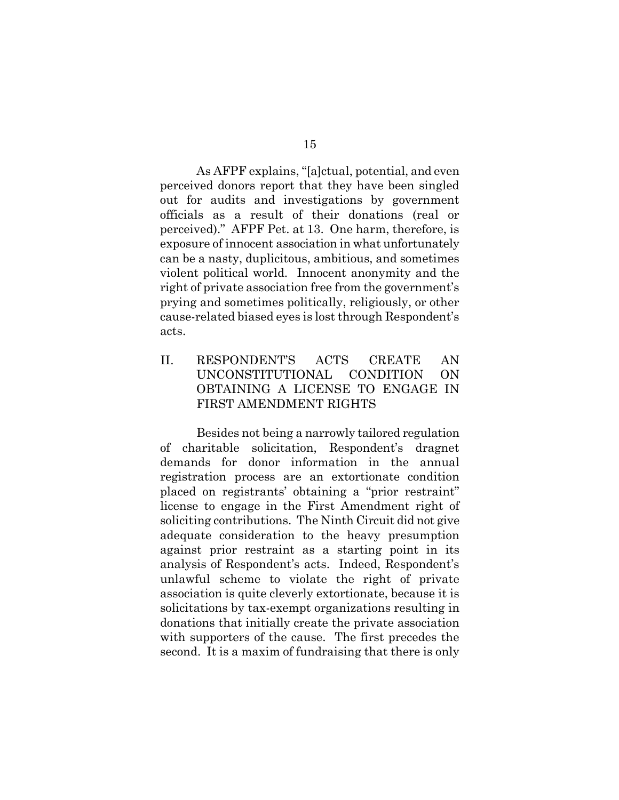As AFPF explains, "[a]ctual, potential, and even perceived donors report that they have been singled out for audits and investigations by government officials as a result of their donations (real or perceived)." AFPF Pet. at 13. One harm, therefore, is exposure of innocent association in what unfortunately can be a nasty, duplicitous, ambitious, and sometimes violent political world. Innocent anonymity and the right of private association free from the government's prying and sometimes politically, religiously, or other cause-related biased eyes is lost through Respondent's acts.

II. RESPONDENT'S ACTS CREATE AN UNCONSTITUTIONAL CONDITION ON OBTAINING A LICENSE TO ENGAGE IN FIRST AMENDMENT RIGHTS

Besides not being a narrowly tailored regulation of charitable solicitation, Respondent's dragnet demands for donor information in the annual registration process are an extortionate condition placed on registrants' obtaining a "prior restraint" license to engage in the First Amendment right of soliciting contributions. The Ninth Circuit did not give adequate consideration to the heavy presumption against prior restraint as a starting point in its analysis of Respondent's acts. Indeed, Respondent's unlawful scheme to violate the right of private association is quite cleverly extortionate, because it is solicitations by tax-exempt organizations resulting in donations that initially create the private association with supporters of the cause. The first precedes the second. It is a maxim of fundraising that there is only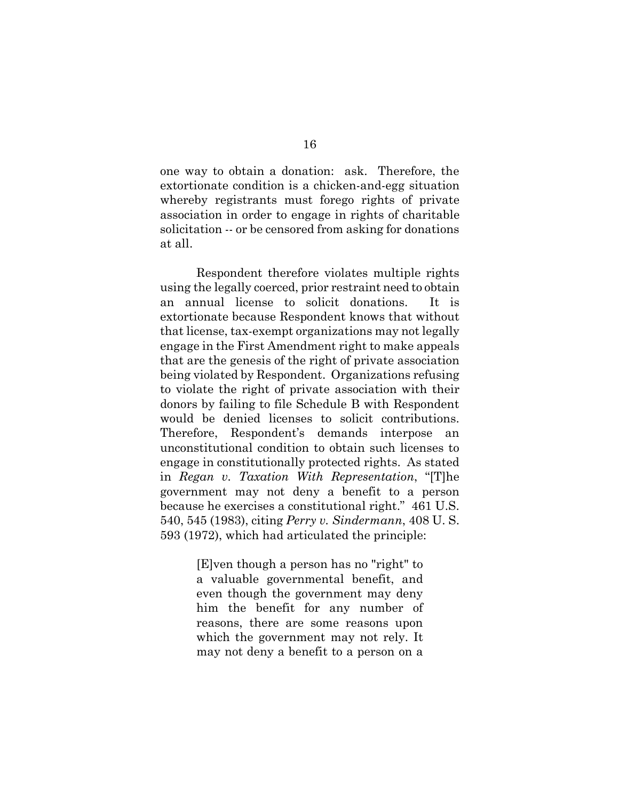one way to obtain a donation: ask. Therefore, the extortionate condition is a chicken-and-egg situation whereby registrants must forego rights of private association in order to engage in rights of charitable solicitation -- or be censored from asking for donations at all.

Respondent therefore violates multiple rights using the legally coerced, prior restraint need to obtain an annual license to solicit donations. It is extortionate because Respondent knows that without that license, tax-exempt organizations may not legally engage in the First Amendment right to make appeals that are the genesis of the right of private association being violated by Respondent. Organizations refusing to violate the right of private association with their donors by failing to file Schedule B with Respondent would be denied licenses to solicit contributions. Therefore, Respondent's demands interpose an unconstitutional condition to obtain such licenses to engage in constitutionally protected rights. As stated in *Regan v. Taxation With Representation*, "[T]he government may not deny a benefit to a person because he exercises a constitutional right." 461 U.S. 540, 545 (1983), citing *Perry v. Sindermann*, 408 U. S. 593 (1972), which had articulated the principle:

> [E]ven though a person has no "right" to a valuable governmental benefit, and even though the government may deny him the benefit for any number of reasons, there are some reasons upon which the government may not rely. It may not deny a benefit to a person on a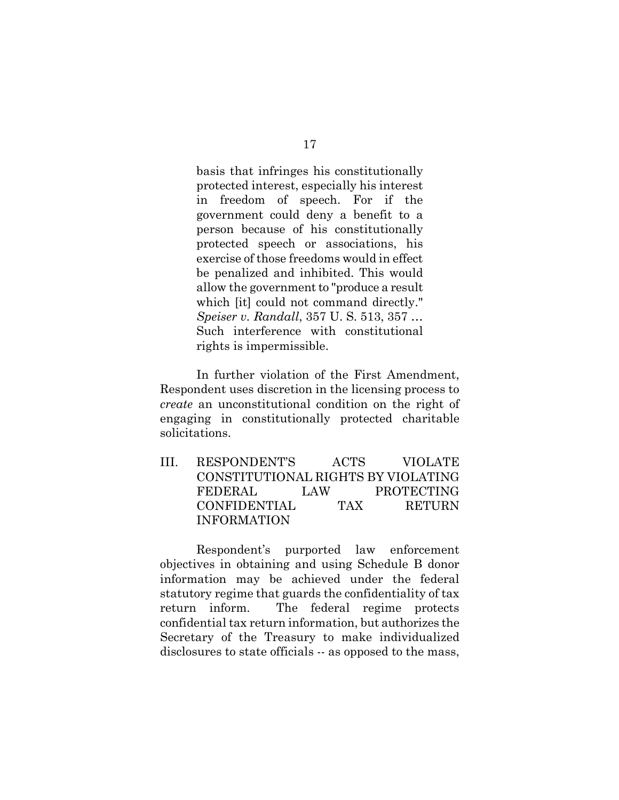basis that infringes his constitutionally protected interest, especially his interest in freedom of speech. For if the government could deny a benefit to a person because of his constitutionally protected speech or associations, his exercise of those freedoms would in effect be penalized and inhibited. This would allow the government to "produce a result which *fit* could not command directly." *Speiser v. Randall*, 357 U. S. 513, 357 … Such interference with constitutional rights is impermissible.

In further violation of the First Amendment, Respondent uses discretion in the licensing process to *create* an unconstitutional condition on the right of engaging in constitutionally protected charitable solicitations.

III. RESPONDENT'S ACTS VIOLATE CONSTITUTIONAL RIGHTS BY VIOLATING FEDERAL LAW PROTECTING CONFIDENTIAL TAX RETURN INFORMATION

Respondent's purported law enforcement objectives in obtaining and using Schedule B donor information may be achieved under the federal statutory regime that guards the confidentiality of tax return inform. The federal regime protects confidential tax return information, but authorizes the Secretary of the Treasury to make individualized disclosures to state officials -- as opposed to the mass,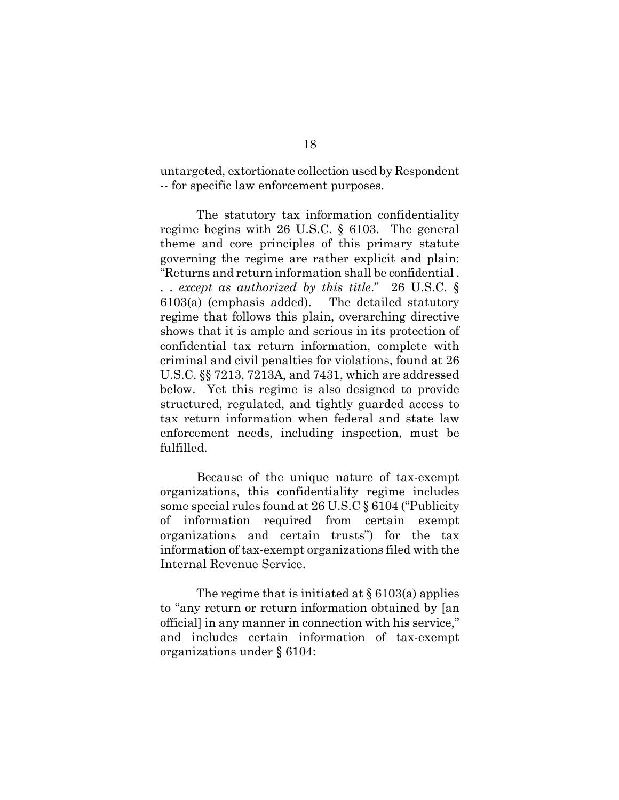untargeted, extortionate collection used by Respondent -- for specific law enforcement purposes.

The statutory tax information confidentiality regime begins with 26 U.S.C. § 6103. The general theme and core principles of this primary statute governing the regime are rather explicit and plain: "Returns and return information shall be confidential . . . *except as authorized by this title*." 26 U.S.C. § 6103(a) (emphasis added). The detailed statutory regime that follows this plain, overarching directive shows that it is ample and serious in its protection of confidential tax return information, complete with criminal and civil penalties for violations, found at 26 U.S.C. §§ 7213, 7213A, and 7431, which are addressed below. Yet this regime is also designed to provide structured, regulated, and tightly guarded access to tax return information when federal and state law enforcement needs, including inspection, must be fulfilled.

Because of the unique nature of tax-exempt organizations, this confidentiality regime includes some special rules found at 26 U.S.C § 6104 ("Publicity of information required from certain exempt organizations and certain trusts") for the tax information of tax-exempt organizations filed with the Internal Revenue Service.

The regime that is initiated at  $\S 6103(a)$  applies to "any return or return information obtained by [an official] in any manner in connection with his service," and includes certain information of tax-exempt organizations under § 6104: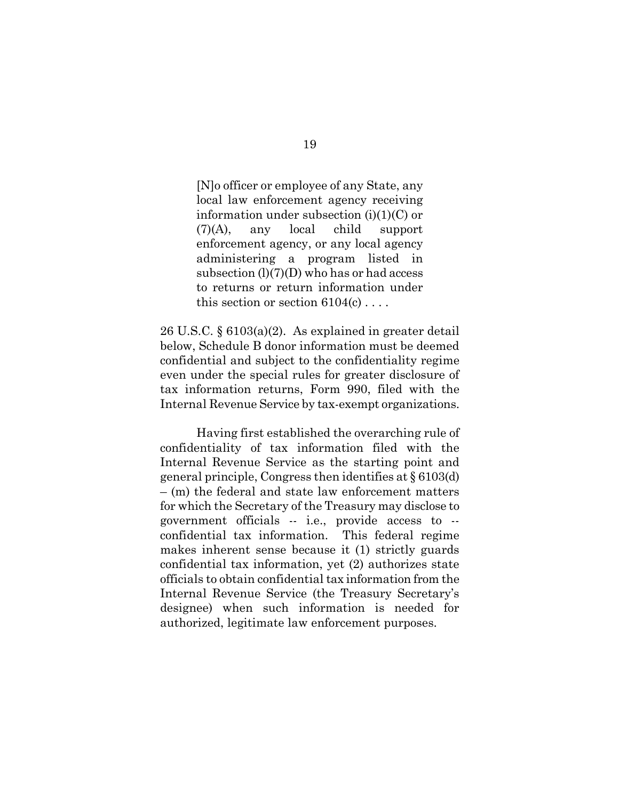[N]o officer or employee of any State, any local law enforcement agency receiving information under subsection  $(i)(1)(C)$  or (7)(A), any local child support enforcement agency, or any local agency administering a program listed in subsection  $(l)(7)(D)$  who has or had access to returns or return information under this section or section  $6104(c)$ ...

26 U.S.C. § 6103(a)(2). As explained in greater detail below, Schedule B donor information must be deemed confidential and subject to the confidentiality regime even under the special rules for greater disclosure of tax information returns, Form 990, filed with the Internal Revenue Service by tax-exempt organizations.

Having first established the overarching rule of confidentiality of tax information filed with the Internal Revenue Service as the starting point and general principle, Congress then identifies at § 6103(d) – (m) the federal and state law enforcement matters for which the Secretary of the Treasury may disclose to government officials -- i.e., provide access to - confidential tax information. This federal regime makes inherent sense because it (1) strictly guards confidential tax information, yet (2) authorizes state officials to obtain confidential tax information from the Internal Revenue Service (the Treasury Secretary's designee) when such information is needed for authorized, legitimate law enforcement purposes.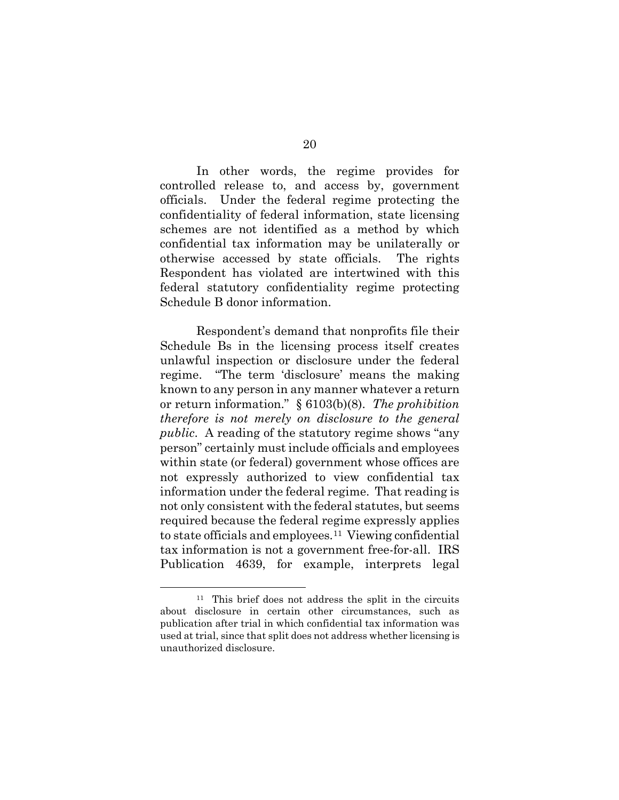In other words, the regime provides for controlled release to, and access by, government officials. Under the federal regime protecting the confidentiality of federal information, state licensing schemes are not identified as a method by which confidential tax information may be unilaterally or otherwise accessed by state officials. The rights Respondent has violated are intertwined with this federal statutory confidentiality regime protecting Schedule B donor information.

Respondent's demand that nonprofits file their Schedule Bs in the licensing process itself creates unlawful inspection or disclosure under the federal regime. "The term 'disclosure' means the making known to any person in any manner whatever a return or return information." § 6103(b)(8). *The prohibition therefore is not merely on disclosure to the general public*. A reading of the statutory regime shows "any person" certainly must include officials and employees within state (or federal) government whose offices are not expressly authorized to view confidential tax information under the federal regime. That reading is not only consistent with the federal statutes, but seems required because the federal regime expressly applies to state officials and employees.[11](#page-25-0) Viewing confidential tax information is not a government free-for-all. IRS Publication 4639, for example, interprets legal

<span id="page-25-0"></span><sup>11</sup> This brief does not address the split in the circuits about disclosure in certain other circumstances, such as publication after trial in which confidential tax information was used at trial, since that split does not address whether licensing is unauthorized disclosure.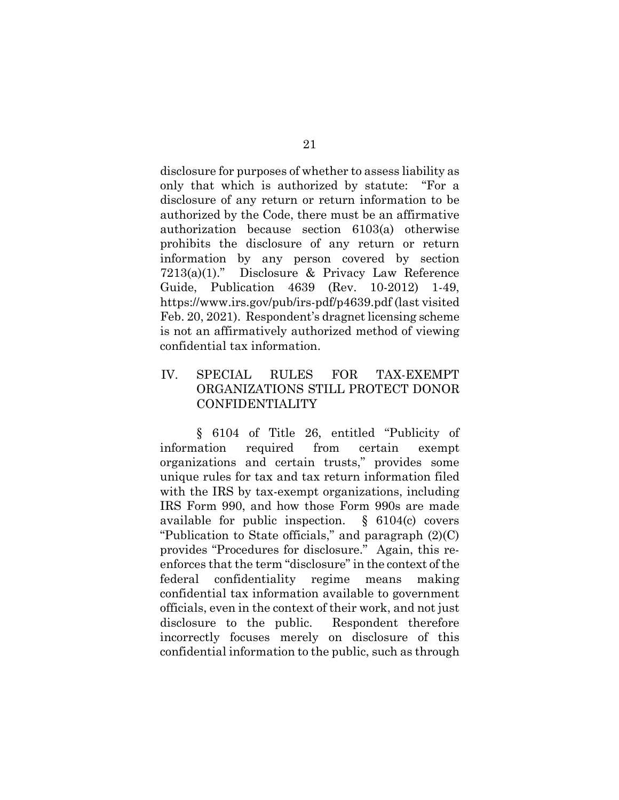disclosure for purposes of whether to assess liability as only that which is authorized by statute: "For a disclosure of any return or return information to be authorized by the Code, there must be an affirmative authorization because section 6103(a) otherwise prohibits the disclosure of any return or return information by any person covered by section 7213(a)(1)." Disclosure & Privacy Law Reference Guide, Publication 4639 (Rev. 10-2012) 1-49, https://www.irs.gov/pub/irs-pdf/p4639.pdf (last visited Feb. 20, 2021). Respondent's dragnet licensing scheme is not an affirmatively authorized method of viewing confidential tax information.

# IV. SPECIAL RULES FOR TAX-EXEMPT ORGANIZATIONS STILL PROTECT DONOR CONFIDENTIALITY

§ 6104 of Title 26, entitled "Publicity of information required from certain exempt organizations and certain trusts," provides some unique rules for tax and tax return information filed with the IRS by tax-exempt organizations, including IRS Form 990, and how those Form 990s are made available for public inspection. § 6104(c) covers "Publication to State officials," and paragraph (2)(C) provides "Procedures for disclosure." Again, this reenforces that the term "disclosure" in the context of the federal confidentiality regime means making confidential tax information available to government officials, even in the context of their work, and not just disclosure to the public. Respondent therefore incorrectly focuses merely on disclosure of this confidential information to the public, such as through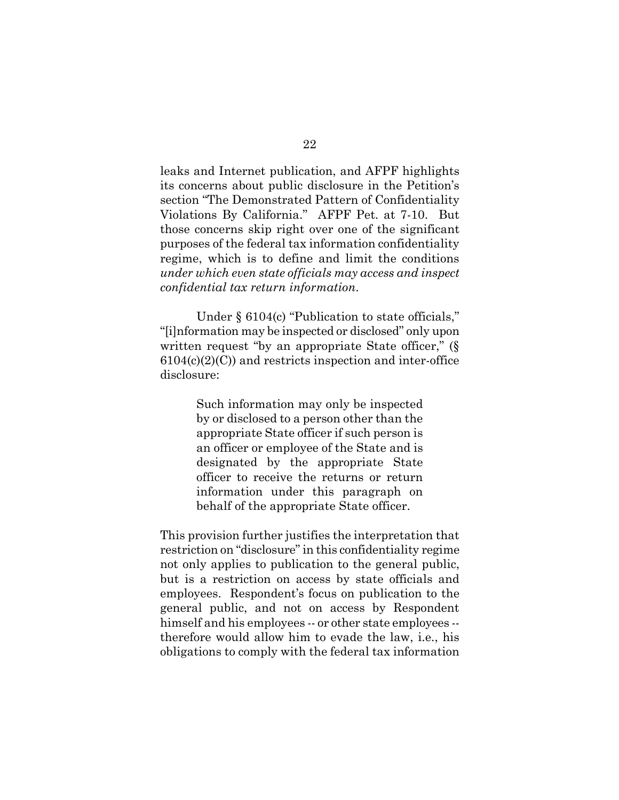leaks and Internet publication, and AFPF highlights its concerns about public disclosure in the Petition's section "The Demonstrated Pattern of Confidentiality Violations By California." AFPF Pet. at 7-10. But those concerns skip right over one of the significant purposes of the federal tax information confidentiality regime, which is to define and limit the conditions *under which even state officials may access and inspect confidential tax return information*.

Under § 6104(c) "Publication to state officials," "[i]nformation may be inspected or disclosed" only upon written request "by an appropriate State officer," (§  $6104(c)(2)(C)$  and restricts inspection and inter-office disclosure:

> Such information may only be inspected by or disclosed to a person other than the appropriate State officer if such person is an officer or employee of the State and is designated by the appropriate State officer to receive the returns or return information under this paragraph on behalf of the appropriate State officer.

This provision further justifies the interpretation that restriction on "disclosure" in this confidentiality regime not only applies to publication to the general public, but is a restriction on access by state officials and employees. Respondent's focus on publication to the general public, and not on access by Respondent himself and his employees -- or other state employees -therefore would allow him to evade the law, i.e., his obligations to comply with the federal tax information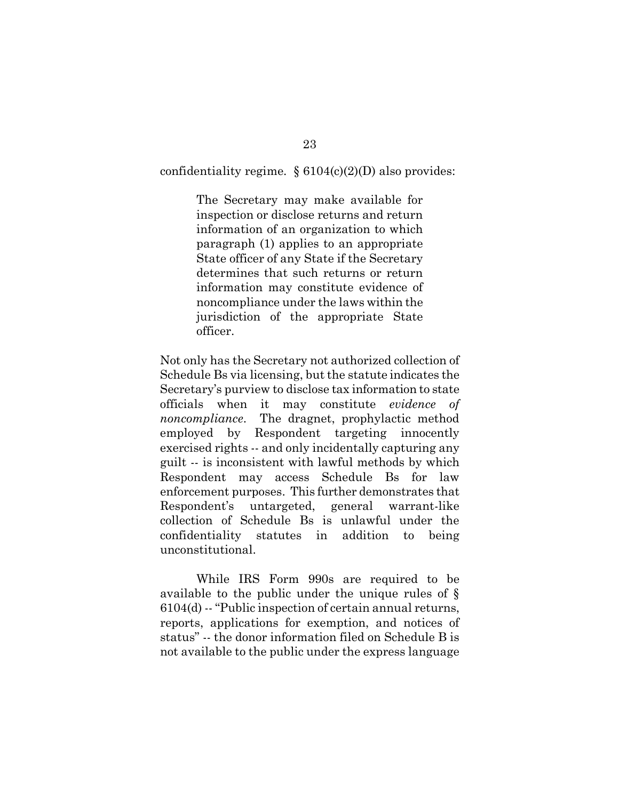confidentiality regime.  $§ 6104(c)(2)(D)$  also provides:

The Secretary may make available for inspection or disclose returns and return information of an organization to which paragraph (1) applies to an appropriate State officer of any State if the Secretary determines that such returns or return information may constitute evidence of noncompliance under the laws within the jurisdiction of the appropriate State officer.

Not only has the Secretary not authorized collection of Schedule Bs via licensing, but the statute indicates the Secretary's purview to disclose tax information to state officials when it may constitute *evidence of noncompliance*. The dragnet, prophylactic method employed by Respondent targeting innocently exercised rights -- and only incidentally capturing any guilt -- is inconsistent with lawful methods by which Respondent may access Schedule Bs for law enforcement purposes. This further demonstrates that Respondent's untargeted, general warrant-like collection of Schedule Bs is unlawful under the confidentiality statutes in addition to being unconstitutional.

While IRS Form 990s are required to be available to the public under the unique rules of § 6104(d) -- "Public inspection of certain annual returns, reports, applications for exemption, and notices of status" -- the donor information filed on Schedule B is not available to the public under the express language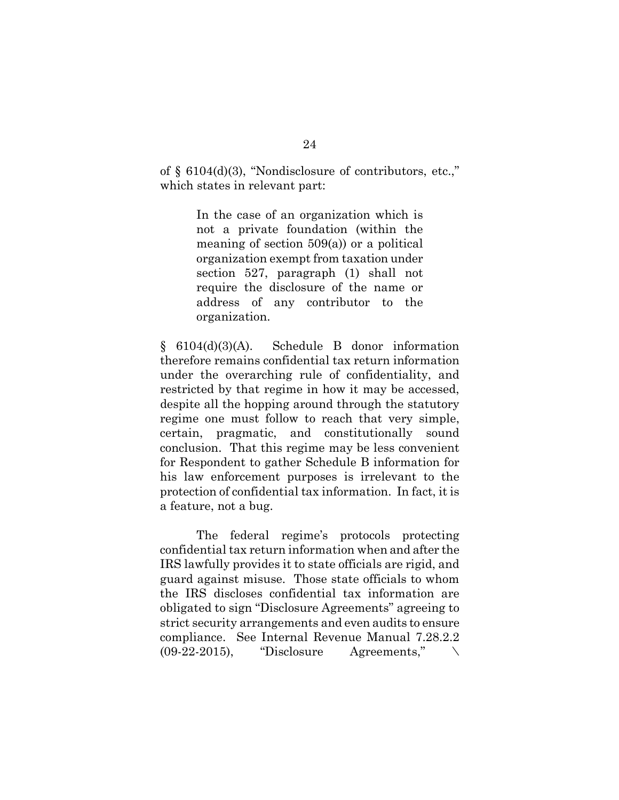of  $\S$  6104(d)(3), "Nondisclosure of contributors, etc.," which states in relevant part:

> In the case of an organization which is not a private foundation (within the meaning of section 509(a)) or a political organization exempt from taxation under section 527, paragraph (1) shall not require the disclosure of the name or address of any contributor to the organization.

§ 6104(d)(3)(A). Schedule B donor information therefore remains confidential tax return information under the overarching rule of confidentiality, and restricted by that regime in how it may be accessed, despite all the hopping around through the statutory regime one must follow to reach that very simple, certain, pragmatic, and constitutionally sound conclusion. That this regime may be less convenient for Respondent to gather Schedule B information for his law enforcement purposes is irrelevant to the protection of confidential tax information. In fact, it is a feature, not a bug.

The federal regime's protocols protecting confidential tax return information when and after the IRS lawfully provides it to state officials are rigid, and guard against misuse. Those state officials to whom the IRS discloses confidential tax information are obligated to sign "Disclosure Agreements" agreeing to strict security arrangements and even audits to ensure compliance. See Internal Revenue Manual 7.28.2.2  $(09-22-2015)$ , "Disclosure Agreements,"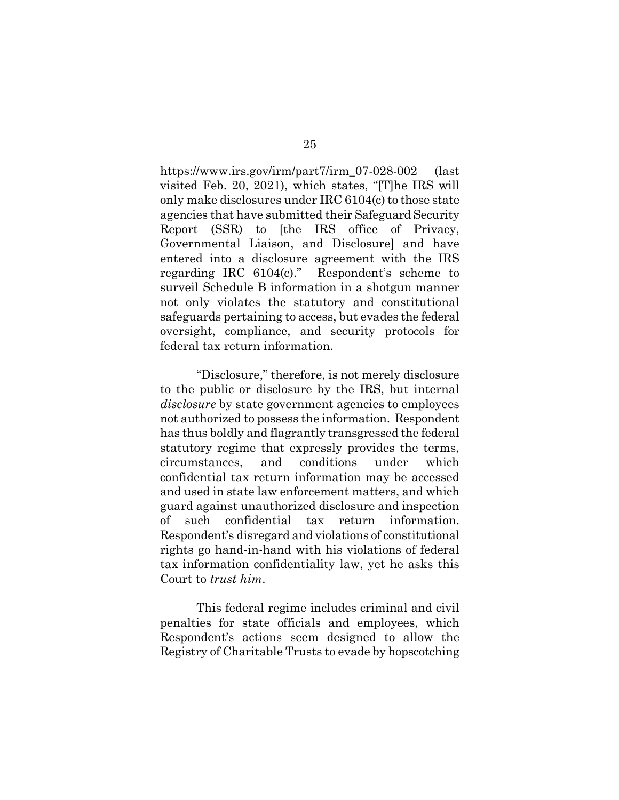https://www.irs.gov/irm/part7/irm\_07-028-002 (last visited Feb. 20, 2021), which states, "[T]he IRS will only make disclosures under IRC 6104(c) to those state agencies that have submitted their Safeguard Security Report (SSR) to [the IRS office of Privacy, Governmental Liaison, and Disclosure] and have entered into a disclosure agreement with the IRS regarding IRC 6104(c)." Respondent's scheme to surveil Schedule B information in a shotgun manner not only violates the statutory and constitutional safeguards pertaining to access, but evades the federal oversight, compliance, and security protocols for federal tax return information.

"Disclosure," therefore, is not merely disclosure to the public or disclosure by the IRS, but internal *disclosure* by state government agencies to employees not authorized to possess the information. Respondent has thus boldly and flagrantly transgressed the federal statutory regime that expressly provides the terms, circumstances, and conditions under which confidential tax return information may be accessed and used in state law enforcement matters, and which guard against unauthorized disclosure and inspection of such confidential tax return information. Respondent's disregard and violations of constitutional rights go hand-in-hand with his violations of federal tax information confidentiality law, yet he asks this Court to *trust him*.

This federal regime includes criminal and civil penalties for state officials and employees, which Respondent's actions seem designed to allow the Registry of Charitable Trusts to evade by hopscotching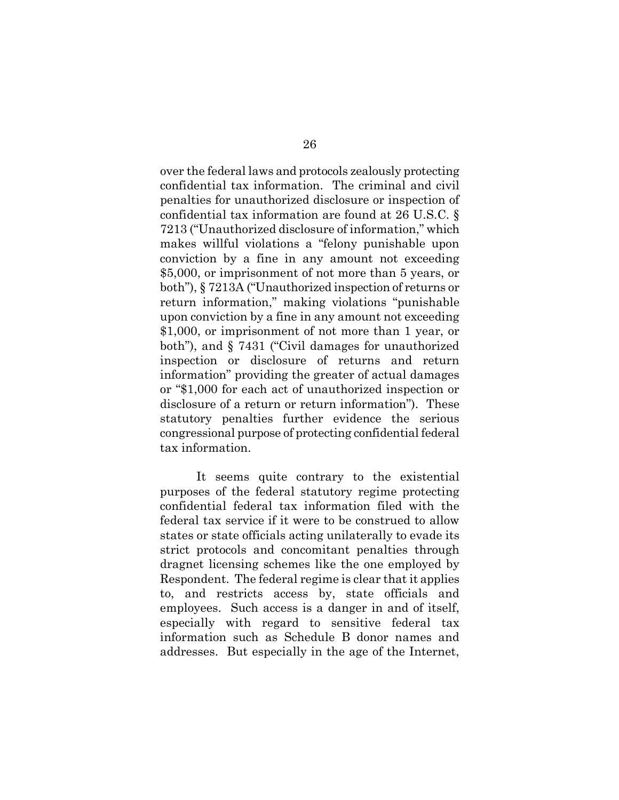over the federal laws and protocols zealously protecting confidential tax information. The criminal and civil penalties for unauthorized disclosure or inspection of confidential tax information are found at 26 U.S.C. § 7213 ("Unauthorized disclosure of information," which makes willful violations a "felony punishable upon conviction by a fine in any amount not exceeding \$5,000, or imprisonment of not more than 5 years, or both"), § 7213A ("Unauthorized inspection of returns or return information," making violations "punishable upon conviction by a fine in any amount not exceeding \$1,000, or imprisonment of not more than 1 year, or both"), and § 7431 ("Civil damages for unauthorized inspection or disclosure of returns and return information" providing the greater of actual damages or "\$1,000 for each act of unauthorized inspection or disclosure of a return or return information"). These statutory penalties further evidence the serious congressional purpose of protecting confidential federal tax information.

It seems quite contrary to the existential purposes of the federal statutory regime protecting confidential federal tax information filed with the federal tax service if it were to be construed to allow states or state officials acting unilaterally to evade its strict protocols and concomitant penalties through dragnet licensing schemes like the one employed by Respondent. The federal regime is clear that it applies to, and restricts access by, state officials and employees. Such access is a danger in and of itself, especially with regard to sensitive federal tax information such as Schedule B donor names and addresses. But especially in the age of the Internet,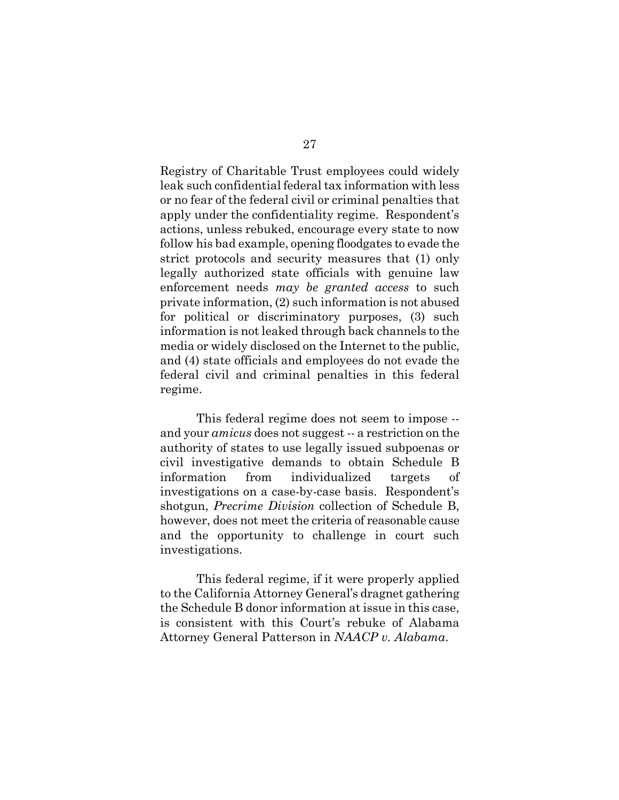Registry of Charitable Trust employees could widely leak such confidential federal tax information with less or no fear of the federal civil or criminal penalties that apply under the confidentiality regime. Respondent's actions, unless rebuked, encourage every state to now follow his bad example, opening floodgates to evade the strict protocols and security measures that (1) only legally authorized state officials with genuine law enforcement needs *may be granted access* to such private information, (2) such information is not abused for political or discriminatory purposes, (3) such information is not leaked through back channels to the media or widely disclosed on the Internet to the public, and (4) state officials and employees do not evade the federal civil and criminal penalties in this federal regime.

This federal regime does not seem to impose - and your *amicus* does not suggest -- a restriction on the authority of states to use legally issued subpoenas or civil investigative demands to obtain Schedule B information from individualized targets of investigations on a case-by-case basis. Respondent's shotgun, *Precrime Division* collection of Schedule B, however, does not meet the criteria of reasonable cause and the opportunity to challenge in court such investigations.

This federal regime, if it were properly applied to the California Attorney General's dragnet gathering the Schedule B donor information at issue in this case, is consistent with this Court's rebuke of Alabama Attorney General Patterson in *NAACP v. Alabama*.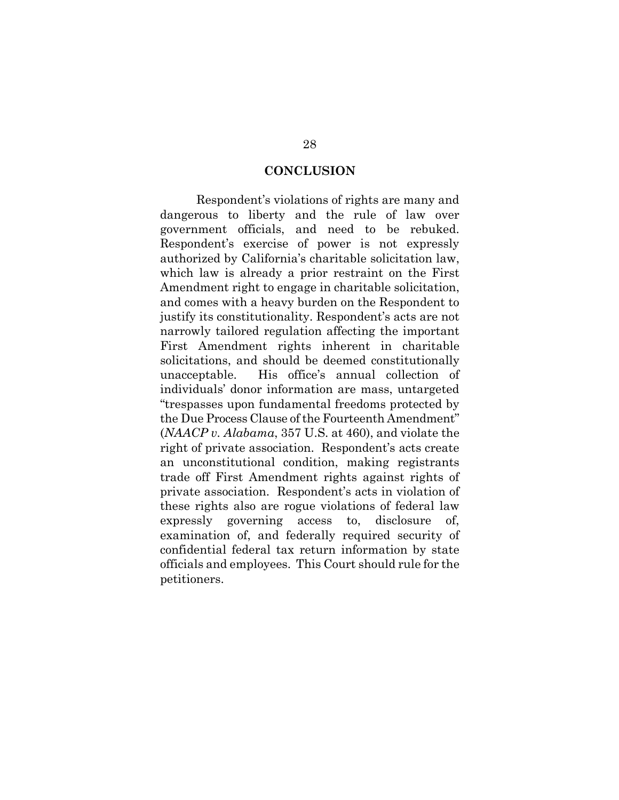#### **CONCLUSION**

Respondent's violations of rights are many and dangerous to liberty and the rule of law over government officials, and need to be rebuked. Respondent's exercise of power is not expressly authorized by California's charitable solicitation law, which law is already a prior restraint on the First Amendment right to engage in charitable solicitation, and comes with a heavy burden on the Respondent to justify its constitutionality. Respondent's acts are not narrowly tailored regulation affecting the important First Amendment rights inherent in charitable solicitations, and should be deemed constitutionally unacceptable. His office's annual collection of individuals' donor information are mass, untargeted "trespasses upon fundamental freedoms protected by the Due Process Clause of the Fourteenth Amendment" (*NAACP v. Alabama*, 357 U.S. at 460), and violate the right of private association. Respondent's acts create an unconstitutional condition, making registrants trade off First Amendment rights against rights of private association. Respondent's acts in violation of these rights also are rogue violations of federal law expressly governing access to, disclosure of, examination of, and federally required security of confidential federal tax return information by state officials and employees. This Court should rule for the petitioners.